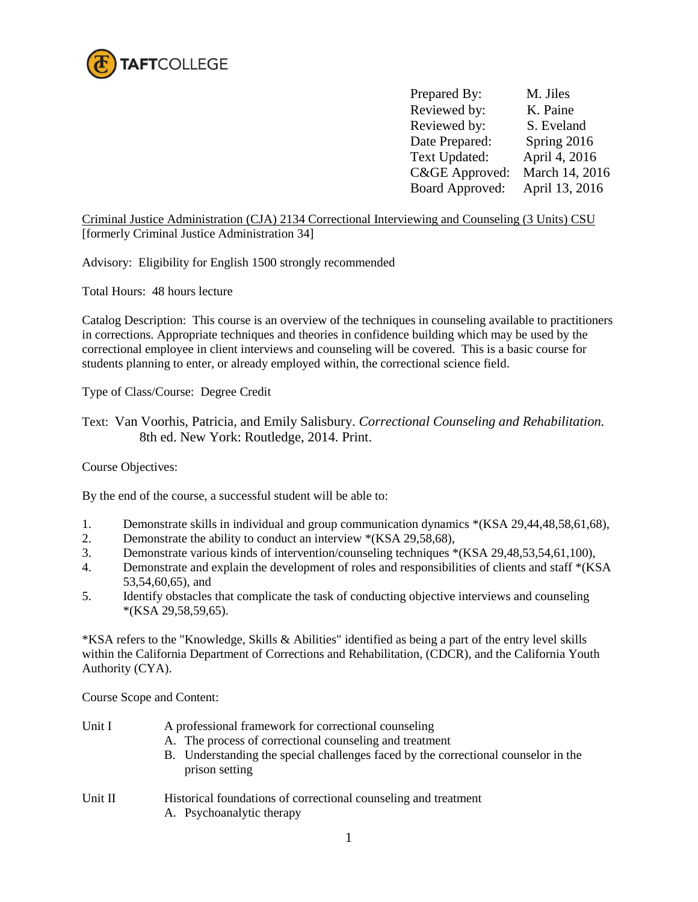

Prepared By: M. Jiles Reviewed by: K. Paine Reviewed by: S. Eveland Date Prepared: Spring 2016 Text Updated: April 4, 2016 C&GE Approved: March 14, 2016 Board Approved: April 13, 2016

Criminal Justice Administration (CJA) 2134 Correctional Interviewing and Counseling (3 Units) CSU [formerly Criminal Justice Administration 34]

Advisory: Eligibility for English 1500 strongly recommended

Total Hours: 48 hours lecture

Catalog Description: This course is an overview of the techniques in counseling available to practitioners in corrections. Appropriate techniques and theories in confidence building which may be used by the correctional employee in client interviews and counseling will be covered. This is a basic course for students planning to enter, or already employed within, the correctional science field.

Type of Class/Course: Degree Credit

Text: Van Voorhis, Patricia, and Emily Salisbury. *Correctional Counseling and Rehabilitation.*  8th ed. New York: Routledge, 2014. Print.

Course Objectives:

By the end of the course, a successful student will be able to:

- 1. Demonstrate skills in individual and group communication dynamics \*(KSA 29,44,48,58,61,68),
- 2. Demonstrate the ability to conduct an interview \*(KSA 29,58,68),
- 3. Demonstrate various kinds of intervention/counseling techniques \*(KSA 29,48,53,54,61,100),
- 4. Demonstrate and explain the development of roles and responsibilities of clients and staff \*(KSA 53,54,60,65), and
- 5. Identify obstacles that complicate the task of conducting objective interviews and counseling \*(KSA 29,58,59,65).

\*KSA refers to the "Knowledge, Skills & Abilities" identified as being a part of the entry level skills within the California Department of Corrections and Rehabilitation, (CDCR), and the California Youth Authority (CYA).

Course Scope and Content:

| Unit I  | A professional framework for correctional counseling                                                 |  |  |
|---------|------------------------------------------------------------------------------------------------------|--|--|
|         | A. The process of correctional counseling and treatment                                              |  |  |
|         | B. Understanding the special challenges faced by the correctional counselor in the<br>prison setting |  |  |
| Unit II | Historical foundations of correctional counseling and treatment<br>A. Psychoanalytic therapy         |  |  |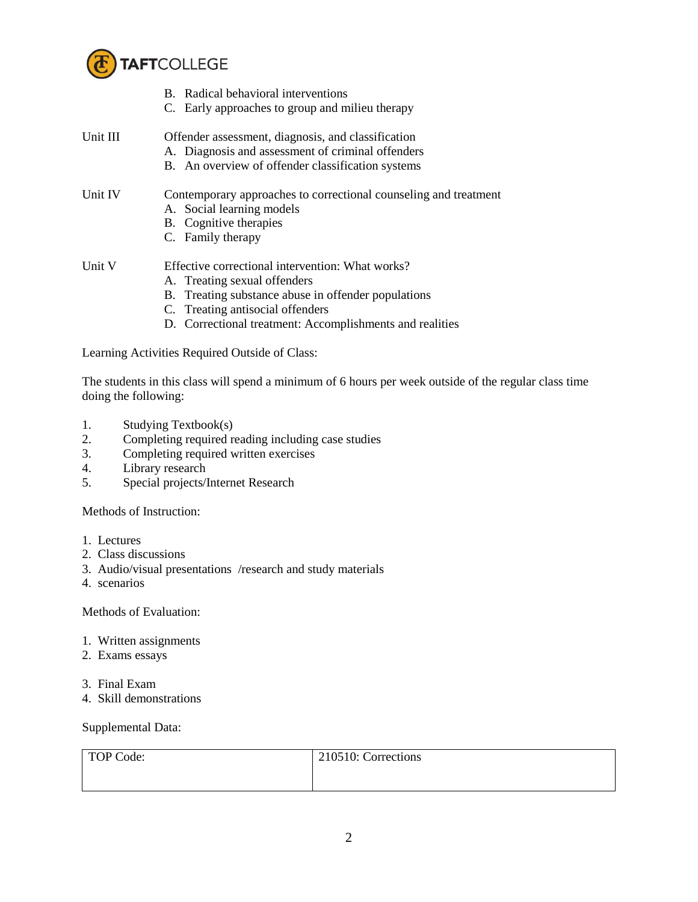

- B. Radical behavioral interventions C. Early approaches to group and milieu therapy Unit III Offender assessment, diagnosis, and classification A. Diagnosis and assessment of criminal offenders B. An overview of offender classification systems Unit IV Contemporary approaches to correctional counseling and treatment A. Social learning models B. Cognitive therapies C. Family therapy Unit V Effective correctional intervention: What works? A. Treating sexual offenders B. Treating substance abuse in offender populations
	- C. Treating antisocial offenders
	- D. Correctional treatment: Accomplishments and realities

Learning Activities Required Outside of Class:

The students in this class will spend a minimum of 6 hours per week outside of the regular class time doing the following:

- 1. Studying Textbook(s)
- 2. Completing required reading including case studies
- 3. Completing required written exercises
- 4. Library research
- 5. Special projects/Internet Research

Methods of Instruction:

- 1. Lectures
- 2. Class discussions
- 3. Audio/visual presentations /research and study materials
- 4. scenarios

Methods of Evaluation:

- 1. Written assignments
- 2. Exams essays
- 3. Final Exam
- 4. Skill demonstrations

Supplemental Data:

| TOP Code: | 210510: Corrections |
|-----------|---------------------|
|           |                     |
|           |                     |